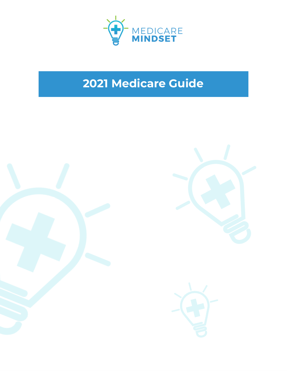

# **Medicare Guide**





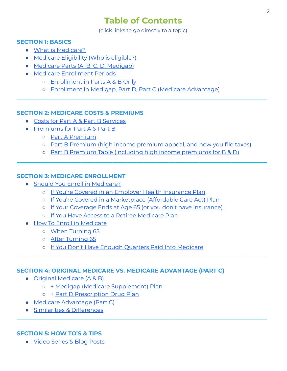## **Table of Contents**

(click links to go directly to a topic)

#### **SECTION 1: BASICS**

- What is [Medicare?](#page-2-0)
- [Medicare](#page-3-0) Eligibility (Who is eligible?)
- Medicare Parts (A, B, C, D, [Medigap\)](#page-4-0)
- Medicare [Enrollment](#page-6-0) Periods
	- [Enrollment](#page-6-0) in Parts A & B Only
	- [Enrollment](#page-8-0) in Medigap, Part D, Part C (Medicare Advantage)

#### **SECTION 2: MEDICARE COSTS & PREMIUMS**

- Costs for Part A & Part B [Services](#page-9-0)
- [Premiums](#page-10-0) for Part A & Part B
	- Part [A Premium](#page-10-0)
	- o Part B [Premium](#page-10-1) (high income premium appeal, and how you file taxes)

**\_\_\_\_\_\_\_\_\_\_\_\_\_\_\_\_\_\_\_\_\_\_\_\_\_\_\_\_\_\_\_\_\_\_\_\_\_\_\_\_\_\_\_\_\_\_\_\_\_\_\_\_\_\_\_\_\_\_\_\_\_\_\_\_\_\_\_\_\_\_\_\_\_\_\_\_\_\_\_\_\_\_\_\_\_\_\_\_\_** 

○ Part B Premium Table (including high income [premiums](#page-11-0) for B & D)

**\_\_\_\_\_\_\_\_\_\_\_\_\_\_\_\_\_\_\_\_\_\_\_\_\_\_\_\_\_\_\_\_\_\_\_\_\_\_\_\_\_\_\_\_\_\_\_\_\_\_\_\_\_\_\_\_\_\_\_\_\_\_\_\_\_\_\_\_\_\_\_\_\_\_\_\_\_\_\_\_\_\_\_\_\_\_\_\_\_** 

**\_\_\_\_\_\_\_\_\_\_\_\_\_\_\_\_\_\_\_\_\_\_\_\_\_\_\_\_\_\_\_\_\_\_\_\_\_\_\_\_\_\_\_\_\_\_\_\_\_\_\_\_\_\_\_\_\_\_\_\_\_\_\_\_\_\_\_\_\_\_\_\_\_\_\_\_\_\_\_\_\_\_\_\_\_\_\_\_\_** 

**\_\_\_\_\_\_\_\_\_\_\_\_\_\_\_\_\_\_\_\_\_\_\_\_\_\_\_\_\_\_\_\_\_\_\_\_\_\_\_\_\_\_\_\_\_\_\_\_\_\_\_\_\_\_\_\_\_\_\_\_\_\_\_\_\_\_\_\_\_\_\_\_\_\_\_\_\_\_\_\_\_\_\_\_\_\_\_\_\_** 

#### **SECTION 3: MEDICARE ENROLLMENT**

- Should You Enroll in [Medicare?](#page-12-0)
	- If You're Covered in an [Employer Health](#page-12-0) Insurance Plan
	- If You're Covered in a [Marketplace](#page-16-0) (Affordable Care Act) Plan
	- If Your Coverage Ends at Age 65 (or you don't have [insurance\)](#page-16-1)
	- If You Have Access to a Retiree [Medicare](#page-16-2) Plan
- **How To Enroll in [Medicare](#page-17-0)** 
	- When [Turning](#page-17-0) 65
	- After [Turning](#page-18-0) 65
	- If You Don't Have Enough Quarters Paid Into [Medicare](#page-19-0)

#### **SECTION 4: ORIGINAL MEDICARE VS. MEDICARE ADVANTAGE (PART C)**

- Original [Medicare](#page-20-0) (A & B)
	- + Medigap (Medicare [Supplement\)](#page-21-0) Plan
	- + Part D [Prescription](#page-23-0) Drug Plan
- Medicare [Advantage](#page-25-0) (Part C)
- Similarities & [Differences](#page-28-0)

#### **SECTION 5: HOW TO'S & TIPS**

● Video [Series](#page-30-0) & Blog Posts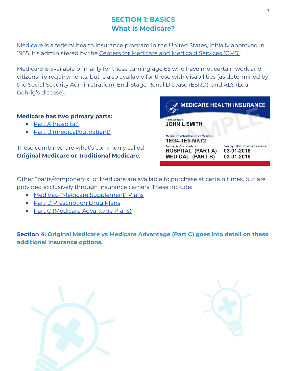## <span id="page-2-0"></span>**SECTION 1: BASICS What is Medicare?**

[Medicare](http://www.medicare.gov/) is a federal health insurance program in the United States, initially approved in 1965. It's administered by the Centers for [Medicare](http://www.cms.com/) and Medicaid Services (CMS).

Medicare is available primarily for those turning age 65 who have met certain work and citizenship requirements, but is also available for those with disabilities (as determined by the Social Security Administration), End-Stage Renal Disease (ESRD), and ALS (Lou Gehrig's disease).

#### **Medicare has two primary parts:**

- Part [A \(hospital\)](https://www.medicare.gov/what-medicare-covers/what-part-a-covers)
- Part B [\(medical/outpatient\)](https://www.medicare.gov/what-medicare-covers/what-part-b-covers)

These combined are what's commonly called **Original Medicare or Traditional Medicare**.



Other "parts/components" of Medicare are available to purchase at certain times, but are provided exclusively through insurance carriers. These include:

- Medigap (Medicare [Supplement\)](#page-21-0) Plans
- Part D [Prescription](#page-23-0) Drug Plans
- Part C (Medicare [Advantage](#page-25-0) Plans)

**[Section](#page-20-0) 4: Original Medicare vs Medicare Advantage (Part C) goes into detail on these additional insurance options.**



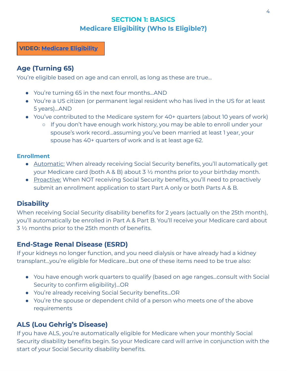## <span id="page-3-0"></span>**SECTION 1: BASICS Medicare Eligibility (Who Is Eligible?)**

**VIDEO: [Medicare](https://youtu.be/CN2_2q2qXbU) Eligibility**

## **Age (Turning 65)**

You're eligible based on age and can enroll, as long as these are true…

- You're turning 65 in the next four months...AND
- You're a US citizen (or permanent legal resident who has lived in the US for at least 5 years)...AND
- You've contributed to the Medicare system for 40+ quarters (about 10 years of work)
	- If you don't have enough work history, you may be able to enroll under your spouse's work record...assuming you've been married at least 1 year, your spouse has 40+ quarters of work and is at least age 62.

#### **Enrollment**

- Automatic: When already receiving Social Security benefits, you'll automatically get your Medicare card (both A & B) about  $3\frac{1}{2}$  months prior to your birthday month.
- Proactive: When NOT receiving Social Security benefits, you'll need to proactively submit an enrollment application to start Part A only or both Parts A & B.

## **Disability**

When receiving Social Security disability benefits for 2 years (actually on the 25th month), you'll automatically be enrolled in Part A & Part B. You'll receive your Medicare card about 3 ½ months prior to the 25th month of benefits.

## **End-Stage Renal Disease (ESRD)**

If your kidneys no longer function, and you need dialysis or have already had a kidney transplant...you're eligible for Medicare...but one of these items need to be true also:

- You have enough work quarters to qualify (based on age ranges...consult with Social Security to confirm eligibility)...OR
- You're already receiving Social Security benefits...OR
- You're the spouse or dependent child of a person who meets one of the above requirements

## **ALS (Lou Gehrig's Disease)**

If you have ALS, you're automatically eligible for Medicare when your monthly Social Security disability benefits begin. So your Medicare card will arrive in conjunction with the start of your Social Security disability benefits.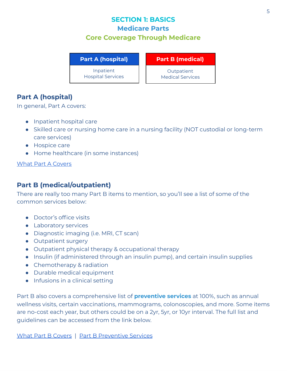## <span id="page-4-0"></span>**SECTION 1: BASICS Medicare Parts Core Coverage Through Medicare**

**Part A (hospital)**

Inpatient Hospital Services **Part B (medical)**

**Outpatient** Medical Services

## **Part A (hospital)**

In general, Part A covers:

- Inpatient hospital care
- Skilled care or nursing home care in a nursing facility (NOT custodial or long-term care services)
- Hospice care
- Home healthcare (in some instances)

What Part [A Covers](https://www.medicare.gov/what-medicare-covers/what-part-a-covers)

#### **Part B (medical/outpatient)**

There are really too many Part B items to mention, so you'll see a list of some of the common services below:

- Doctor's office visits
- Laboratory services
- Diagnostic imaging (i.e. MRI, CT scan)
- Outpatient surgery
- Outpatient physical therapy & occupational therapy
- Insulin (if administered through an insulin pump), and certain insulin supplies
- Chemotherapy & radiation
- Durable medical equipment
- Infusions in a clinical setting

Part B also covers a comprehensive list of **preventive services** at 100%, such as annual wellness visits, certain vaccinations, mammograms, colonoscopies, and more. Some items are no-cost each year, but others could be on a 2yr, 5yr, or 10yr interval. The full list and guidelines can be accessed from the link below.

What Part B [Covers](https://www.medicare.gov/what-medicare-covers/what-part-b-covers) | Part B [Preventive](https://www.medicare.gov/coverage/preventive-screening-services) Services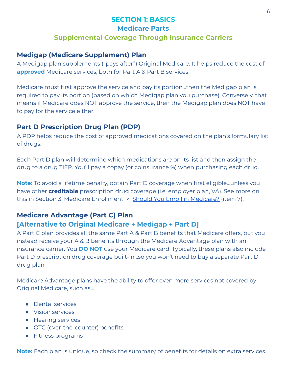## **SECTION 1: BASICS Medicare Parts Supplemental Coverage Through Insurance Carriers**

#### **Medigap (Medicare Supplement) Plan**

A Medigap plan supplements ("pays after") Original Medicare. It helps reduce the cost of **approved** Medicare services, both for Part A & Part B services.

Medicare must first approve the service and pay its portion...then the Medigap plan is required to pay its portion (based on which Medigap plan you purchase). Conversely, that means if Medicare does NOT approve the service, then the Medigap plan does NOT have to pay for the service either.

## **Part D Prescription Drug Plan (PDP)**

A PDP helps reduce the cost of approved medications covered on the plan's formulary list of drugs.

Each Part D plan will determine which medications are on its list and then assign the drug to a drug TIER. You'll pay a copay (or coinsurance %) when purchasing each drug.

**Note:** To avoid a lifetime penalty, obtain Part D coverage when first eligible...unless you have other **creditable** prescription drug coverage (i.e. employer plan, VA). See more on this in Section 3: Medicare Enrollment > Should You Enroll in [Medicare?](#page-12-0) (item 7).

#### **Medicare Advantage (Part C) Plan [Alternative to Original Medicare + Medigap + Part D]**

A Part C plan provides all the same Part A & Part B benefits that Medicare offers, but you instead receive your A & B benefits through the Medicare Advantage plan with an insurance carrier. You **DO NOT** use your Medicare card. Typically, these plans also include Part D prescription drug coverage built-in...so you won't need to buy a separate Part D drug plan.

Medicare Advantage plans have the ability to offer even more services not covered by Original Medicare, such as…

- Dental services
- Vision services
- Hearing services
- OTC (over-the-counter) benefits
- Fitness programs

**Note:** Each plan is unique, so check the summary of benefits for details on extra services.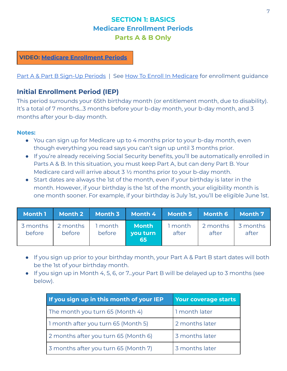## <span id="page-6-0"></span>**SECTION 1: BASICS Medicare Enrollment Periods Parts A & B Only**

#### **VIDEO: Medicare [Enrollment](https://youtu.be/7Xdga1FHRhA) Periods**

#### Part A & Part B [Sign-Up](https://www.medicare.gov/sign-up-change-plans/how-do-i-get-parts-a-b/part-a-part-b-sign-up-periods) Periods | See How To Enroll In [Medicare](#page-17-0) for enrollment guidance

#### **Initial Enrollment Period (IEP)**

This period surrounds your 65th birthday month (or entitlement month, due to disability). It's a total of 7 months...3 months before your b-day month, your b-day month, and 3 months after your b-day month.

#### **Notes:**

- You can sign up for Medicare up to 4 months prior to your b-day month, even though everything you read says you can't sign up until 3 months prior.
- If you're already receiving Social Security benefits, you'll be automatically enrolled in Parts A & B. In this situation, you must keep Part A, but can deny Part B. Your Medicare card will arrive about 3  $\frac{1}{2}$  months prior to your b-day month.
- Start dates are always the 1st of the month, even if your birthday is later in the month. However, if your birthday is the 1st of the month, your eligibility month is one month sooner. For example, if your birthday is July 1st, you'll be eligible June 1st.

|        |                                             |        | Month 1 Month 2 Month 3 Month 4 Month 5 Month 6 Month 7 |       |                                    |       |
|--------|---------------------------------------------|--------|---------------------------------------------------------|-------|------------------------------------|-------|
| before | 3 months 2 months 1 month 1 Month<br>before | before | vou turn<br>65                                          | after | 1 month 2 months 3 months<br>after | after |

- If you sign up prior to your birthday month, your Part A & Part B start dates will both be the 1st of your birthday month.
- If you sign up in Month 4, 5, 6, or 7...your Part B will be delayed up to 3 months (see below).

| If you sign up in this month of your IEP | Your coverage starts |
|------------------------------------------|----------------------|
| The month you turn 65 (Month 4)          | 1 month later        |
| 1 month after you turn 65 (Month 5)      | 2 months later       |
| 2 months after you turn 65 (Month 6)     | 3 months later       |
| 3 months after you turn 65 (Month 7)     | 3 months later       |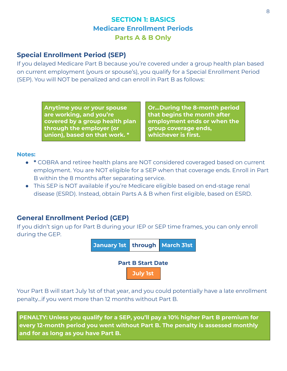## <span id="page-7-0"></span>**SECTION 1: BASICS Medicare Enrollment Periods Parts A & B Only**

## <span id="page-7-1"></span>**Special Enrollment Period (SEP)**

If you delayed Medicare Part B because you're covered under a group health plan based on current employment (yours or spouse's), you qualify for a Special Enrollment Period (SEP). You will NOT be penalized and can enroll in Part B as follows:

> **Anytime you or your spouse are working, and you're covered by a group health plan through the employer (or union), based on that work. \***

**Or...During the 8-month period that begins the month after employment ends or when the group coverage ends, whichever is first.**

#### **Notes:**

- **\*** COBRA and retiree health plans are NOT considered coveraged based on current employment. You are NOT eligible for a SEP when that coverage ends. Enroll in Part B within the 8 months after separating service.
- This SEP is NOT available if you're Medicare eligible based on end-stage renal disease (ESRD). Instead, obtain Parts A & B when first eligible, based on ESRD.

#### **General Enrollment Period (GEP)**

If you didn't sign up for Part B during your IEP or SEP time frames, you can only enroll during the GEP.



Your Part B will start July 1st of that year, and you could potentially have a late enrollment penalty...if you went more than 12 months without Part B.

**PENALTY: Unless you qualify for a SEP, you'll pay a 10% higher Part B premium for every 12-month period you went without Part B. The penalty is assessed monthly and for as long as you have Part B.**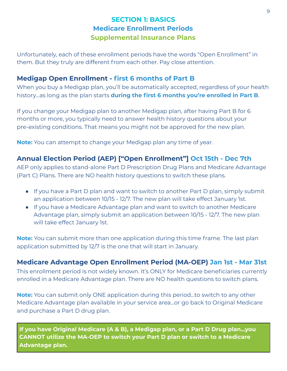## <span id="page-8-0"></span>**SECTION 1: BASICS Medicare Enrollment Periods Supplemental Insurance Plans**

Unfortunately, each of these enrollment periods have the words "Open Enrollment" in them. But they truly are different from each other. Pay close attention.

## **Medigap Open Enrollment - first 6 months of Part B**

When you buy a Medigap plan, you'll be automatically accepted, regardless of your health history...as long as the plan starts **during the first 6 months you're enrolled in Part B**.

If you change your Medigap plan to another Medigap plan, after having Part B for 6 months or more, you typically need to answer health history questions about your pre-existing conditions. That means you might not be approved for the new plan.

**Note:** You can attempt to change your Medigap plan any time of year.

## **Annual Election Period (AEP) ["Open Enrollment"] Oct 15th - Dec 7th**

AEP only applies to stand-alone Part D Prescription Drug Plans and Medicare Advantage (Part C) Plans. There are NO health history questions to switch these plans.

- If you have a Part D plan and want to switch to another Part D plan, simply submit an application between 10/15 - 12/7. The new plan will take effect January 1st.
- If you have a Medicare Advantage plan and want to switch to another Medicare Advantage plan, simply submit an application between 10/15 - 12/7. The new plan will take effect January 1st.

**Note:** You can submit more than one application during this time frame. The last plan application submitted by 12/7 is the one that will start in January.

#### **Medicare Advantage Open Enrollment Period (MA-OEP) Jan 1st - Mar 31st**

This enrollment period is not widely known. It's ONLY for Medicare beneficiaries currently enrolled in a Medicare Advantage plan. There are NO health questions to switch plans.

**Note:** You can submit only ONE application during this period...to switch to any other Medicare Advantage plan available in your service area...or go back to Original Medicare and purchase a Part D drug plan.

**If you have Original Medicare (A & B), a Medigap plan, or a Part D Drug plan...you CANNOT utilize the MA-OEP to switch your Part D plan or switch to a Medicare Advantage plan.**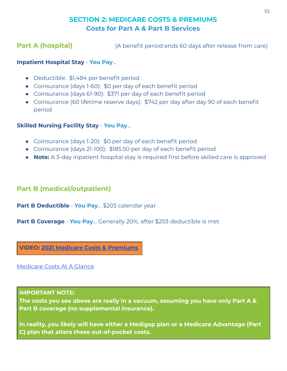## <span id="page-9-0"></span>**SECTION 2: MEDICARE COSTS & PREMIUMS Costs for Part A & Part B Services**

**Part A (hospital)** (A benefit period ends 60 days after release from care)

#### **Inpatient Hospital Stay** - **You Pay**…

- Deductible: \$1,484 per benefit period
- Coinsurance (days 1-60): \$0 per day of each benefit period
- Coinsurance (days 61-90): \$371 per day of each benefit period
- Coinsurance (60 lifetime reserve days): \$742 per day after day 90 of each benefit period

#### **Skilled Nursing Facility Stay** - **You Pay**…

- Coinsurance (days 1-20): \$0 per day of each benefit period
- Coinsurance (days 21-100): \$185.50 per day of each benefit period
- **Note:** A 3-day inpatient hospital stay is required first before skilled care is approved

## **Part B (medical/outpatient)**

**Part B Deductible** - **You Pay**… \$203 calendar year

**Part B Coverage** - **You Pay**… Generally 20%, after \$203 deductible is met

**VIDEO: 2021 Medicare Costs & [Premiums](https://youtu.be/sriHcsnGugs)**

[Medicare](https://www.medicare.gov/your-medicare-costs/medicare-costs-at-a-glance) Costs At A Glance

#### **IMPORTANT NOTE:**

**The costs you see above are really in a vacuum, assuming you have only Part A & Part B coverage (no supplemental insurance).**

**In reality, you likely will have either a Medigap plan or a Medicare Advantage (Part C) plan that alters these out-of-pocket costs.**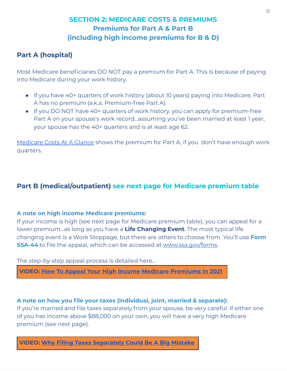## <span id="page-10-0"></span>**SECTION 2: MEDICARE COSTS & PREMIUMS Premiums for Part A & Part B (including high income premiums for B & D)**

## **Part A (hospital)**

Most Medicare beneficiaries DO NOT pay a premium for Part A. This is because of paying into Medicare during your work history.

- If you have 40+ quarters of work history (about 10 years) paying into Medicare, Part A has no premium (a.k.a. Premium-free Part A).
- If you DO NOT have 40+ quarters of work history, you can apply for premium-free Part A on your spouse's work record...assuming you've been married at least 1 year, your spouse has the 40+ quarters and is at least age 62.

[Medicare](https://www.medicare.gov/your-medicare-costs/medicare-costs-at-a-glance) Costs At A Glance shows the premium for Part A, if you don't have enough work quarters.

## <span id="page-10-1"></span>**Part B (medical/outpatient) see next page for Medicare premium table**

#### **A note on high income Medicare premiums:**

If your income is high (see next page for Medicare premium table), you can appeal for a lower premium...as long as you have a **Life Changing Event**. The most typical life changing event is a Work Stoppage, but there are others to choose from. You'll use **Form SSA-44** to file the appeal, which can be accessed at [www.ssa.gov/forms.](http://www.ssa.gov/forms)

The step-by-step appeal process is detailed here…

**VIDEO: How To Appeal Your High Income Medicare [Premiums](https://youtu.be/vneDwXcJo4o) In 2021**

#### **A note on how you file your taxes (individual, joint, married & separate):**

If you're married and file taxes separately from your spouse, be very careful. If either one of you has income above \$88,000 on your own, you will have a very high Medicare premium (see next page).

**VIDEO: Why Filing Taxes [Separately](https://youtu.be/IxgLoFHYjJw) Could Be A Big Mistake**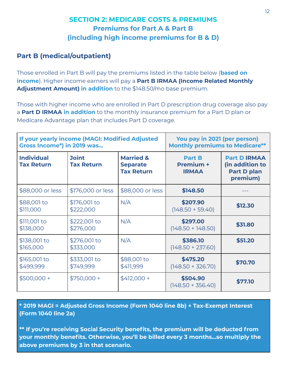## <span id="page-11-0"></span>**SECTION 2: MEDICARE COSTS & PREMIUMS Premiums for Part A & Part B (including high income premiums for B & D)**

## **Part B (medical/outpatient)**

Those enrolled in Part B will pay the premiums listed in the table below (**based on income**). Higher income earners will pay a **Part B IRMAA (Income Related Monthly Adjustment Amount) in addition** to the \$148.50/mo base premium.

Those with higher income who are enrolled in Part D prescription drug coverage also pay a **Part D IRMAA in addition** to the monthly insurance premium for a Part D plan or Medicare Advantage plan that includes Part D coverage.

| <b>Gross Income*) in 2019 was</b>      | If your yearly income (MAGI: Modified Adjusted | You pay in 2021 (per person)<br><b>Monthly premiums to Medicare**</b> |                                            |                                                                          |
|----------------------------------------|------------------------------------------------|-----------------------------------------------------------------------|--------------------------------------------|--------------------------------------------------------------------------|
| <b>Individual</b><br><b>Tax Return</b> | <b>Joint</b><br><b>Tax Return</b>              | <b>Married &amp;</b><br><b>Separate</b><br><b>Tax Return</b>          | <b>Part B</b><br>Premium +<br><b>IRMAA</b> | <b>Part D IRMAA</b><br>(in addition to<br><b>Part D plan</b><br>premium) |
| \$88,000 or less                       | \$176,000 or less                              | \$88,000 or less                                                      | \$148.50                                   |                                                                          |
| \$88,001 to<br>\$111,000               | \$176,001 to<br>\$222,000                      | N/A                                                                   | \$207.90<br>$(148.50 + 59.40)$             | \$12.30                                                                  |
| \$111,001 to<br>\$138,000              | \$222,001 to<br>\$276,000                      | N/A                                                                   | \$297.00<br>$(148.50 + 148.50)$            | \$31.80                                                                  |
| \$138,001 to<br>\$165,000              | \$276,001 to<br>\$333,000                      | N/A                                                                   | \$386.10<br>$(148.50 + 237.60)$            | \$51.20                                                                  |
| \$165,001 to<br>\$499,999              | \$333,001 to<br>\$749,999                      | \$88,001 to<br>\$411,999                                              | \$475.20<br>$(148.50 + 326.70)$            | \$70.70                                                                  |
| $$500,000 +$                           | $$750,000 +$                                   | $$412,000 +$                                                          | \$504.90<br>$(148.50 + 356.40)$            | \$77.10                                                                  |

**\* 2019 MAGI = Adjusted Gross Income (Form 1040 line 8b) + Tax-Exempt Interest (Form 1040 line 2a)**

**\*\* If you're receiving Social Security benefits, the premium will be deducted from your monthly benefits. Otherwise, you'll be billed every 3 months...so multiply the above premiums by 3 in that scenario.**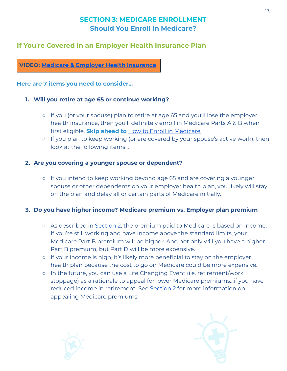## <span id="page-12-0"></span>**If You're Covered in an Employer Health Insurance Plan**

#### **VIDEO: Medicare & Employer Health [Insurance](https://youtu.be/lJQz9mCdD5Y)**

#### **Here are 7 items you need to consider...**

#### **1. Will you retire at age 65 or continue working?**

- If you (or your spouse) plan to retire at age 65 and you'll lose the employer health insurance, then you'll definitely enroll in Medicare Parts A & B when first eligible. **Skip ahead to** How to Enroll in [Medicare.](#page-17-0)
- If you plan to keep working (or are covered by your spouse's active work), then look at the following items...

#### **2. Are you covering a younger spouse or dependent?**

**○** If you intend to keep working beyond age 65 and are covering a younger spouse or other dependents on your employer health plan, you likely will stay on the plan and delay all or certain parts of Medicare initially.

#### **3. Do you have higher income? Medicare premium vs. Employer plan premium**

- As described in [Section](#page-11-0) 2, the premium paid to Medicare is based on income. If you're still working and have income above the standard limits, your Medicare Part B premium will be higher. And not only will you have a higher Part B premium, but Part D will be more expensive.
- If your income is high, it's likely more beneficial to stay on the employer health plan because the cost to go on Medicare could be more expensive.
- In the future, you can use a Life Changing Event (i.e. retirement/work stoppage) as a rationale to appeal for lower Medicare premiums...if you have reduced income in retirement. See [Section](#page-10-1) 2 for more information on appealing Medicare premiums.



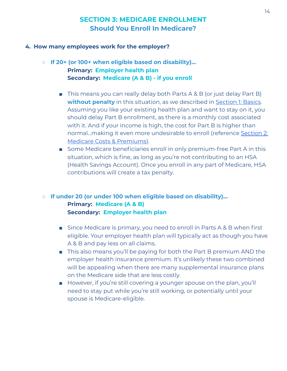#### **4. How many employees work for the employer?**

- **○ If 20+ (or 100+ when eligible based on disability)... Primary: Employer health plan Secondary: Medicare (A & B) - if you enroll**
	- This means you can really delay both Parts A & B (or just delay Part B) **without penalty** in this situation, as we described in [Section](#page-7-0) 1: Basics. Assuming you like your existing health plan and want to stay on it, you should delay Part B enrollment, as there is a monthly cost associated with it. And if your income is high, the cost for Part B is higher than normal...making it even more undesirable to enroll (reference [Section](#page-11-0) 2: Medicare Costs & [Premiums\)](#page-11-0).
	- Some Medicare beneficiaries enroll in only premium-free Part A in this situation, which is fine, as long as you're not contributing to an HSA (Health Savings Account). Once you enroll in any part of Medicare, HSA contributions will create a tax penalty.

#### **○ If under 20 (or under 100 when eligible based on disability)... Primary: Medicare (A & B) Secondary: Employer health plan**

- Since Medicare is primary, you need to enroll in Parts A & B when first eligible. Your employer health plan will typically act as though you have A & B and pay less on all claims.
- This also means you'll be paying for both the Part B premium AND the employer health insurance premium. It's unlikely these two combined will be appealing when there are many supplemental insurance plans on the Medicare side that are less costly.
- However, if you're still covering a younger spouse on the plan, you'll need to stay put while you're still working, or potentially until your spouse is Medicare-eligible.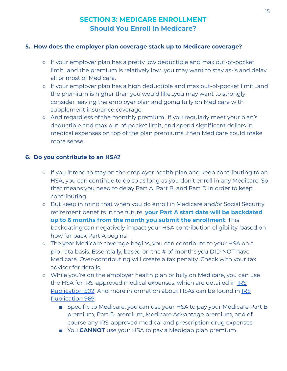#### **5. How does the employer plan coverage stack up to Medicare coverage?**

- If your employer plan has a pretty low deductible and max out-of-pocket limit...and the premium is relatively low...you may want to stay as-is and delay all or most of Medicare.
- If your employer plan has a high deductible and max out-of-pocket limit...and the premium is higher than you would like...you may want to strongly consider leaving the employer plan and going fully on Medicare with supplement insurance coverage.
- And regardless of the monthly premium...if you regularly meet your plan's deductible and max out-of-pocket limit, and spend significant dollars in medical expenses on top of the plan premiums...then Medicare could make more sense.

#### **6. Do you contribute to an HSA?**

- If you intend to stay on the employer health plan and keep contributing to an HSA, you can continue to do so as long as you don't enroll in any Medicare. So that means you need to delay Part A, Part B, and Part D in order to keep contributing.
- But keep in mind that when you do enroll in Medicare and/or Social Security retirement benefits in the future, **your Part A start date will be backdated up to 6 months from the month you submit the enrollment**. This backdating can negatively impact your HSA contribution eligibility, based on how far back Part A begins.
- The year Medicare coverage begins, you can contribute to your HSA on a pro-rata basis. Essentially, based on the # of months you DID NOT have Medicare. Over-contributing will create a tax penalty. Check with your tax advisor for details.
- While you're on the employer health plan or fully on Medicare, you can use the HSA for [IRS](https://www.irs.gov/forms-pubs/about-publication-502)-approved medical expenses, which are detailed in **IRS** [Publication](https://www.irs.gov/forms-pubs/about-publication-502) 502. And more information about HSAs can be found in [IRS](https://www.irs.gov/forms-pubs/about-publication-969) [Publication](https://www.irs.gov/forms-pubs/about-publication-969) 969.
	- Specific to Medicare, you can use your HSA to pay your Medicare Part B premium, Part D premium, Medicare Advantage premium, and of course any IRS-approved medical and prescription drug expenses.
	- You **CANNOT** use your HSA to pay a Medigap plan premium.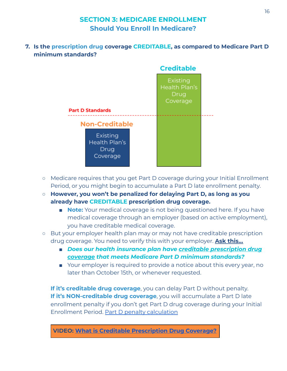**7. Is the prescription drug coverage CREDITABLE, as compared to Medicare Part D minimum standards?**



- Medicare requires that you get Part D coverage during your Initial Enrollment Period, or you might begin to accumulate a Part D late enrollment penalty.
- **○ However, you won't be penalized for delaying Part D, as long as you already have CREDITABLE prescription drug coverage.**
	- **Note:** Your medical coverage is not being questioned here. If you have medical coverage through an employer (based on active employment), you have creditable medical coverage.
- But your employer health plan may or may not have creditable prescription drug coverage. You need to verify this with your employer. **Ask this…**
	- *■ Does our health insurance plan have creditable prescription drug coverage that meets Medicare Part D minimum standards?*
	- Your employer is required to provide a notice about this every year, no later than October 15th, or whenever requested.

**If it's creditable drug coverage**, you can delay Part D without penalty. **If it's NON-creditable drug coverage**, you will accumulate a Part D late enrollment penalty if you don't get Part D drug coverage during your Initial Enrollment Period. Part D penalty [calculation](https://www.medicare.gov/drug-coverage-part-d/costs-for-medicare-drug-coverage/part-d-late-enrollment-penalty)

**VIDEO: What is Creditable [Prescription](https://youtu.be/HtioFoxlB08) Drug Coverage?**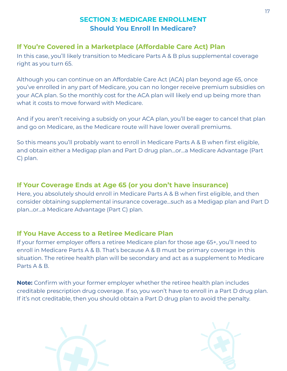## <span id="page-16-0"></span>**If You're Covered in a Marketplace (Affordable Care Act) Plan**

In this case, you'll likely transition to Medicare Parts A & B plus supplemental coverage right as you turn 65.

Although you can continue on an Affordable Care Act (ACA) plan beyond age 65, once you've enrolled in any part of Medicare, you can no longer receive premium subsidies on your ACA plan. So the monthly cost for the ACA plan will likely end up being more than what it costs to move forward with Medicare.

And if you aren't receiving a subsidy on your ACA plan, you'll be eager to cancel that plan and go on Medicare, as the Medicare route will have lower overall premiums.

So this means you'll probably want to enroll in Medicare Parts A & B when first eligible, and obtain either a Medigap plan and Part D drug plan...or...a Medicare Advantage (Part C) plan.

## <span id="page-16-1"></span>**If Your Coverage Ends at Age 65 (or you don't have insurance)**

Here, you absolutely should enroll in Medicare Parts A & B when first eligible, and then consider obtaining supplemental insurance coverage...such as a Medigap plan and Part D plan...or...a Medicare Advantage (Part C) plan.

## <span id="page-16-2"></span>**If You Have Access to a Retiree Medicare Plan**

If your former employer offers a retiree Medicare plan for those age 65+, you'll need to enroll in Medicare Parts A & B. That's because A & B must be primary coverage in this situation. The retiree health plan will be secondary and act as a supplement to Medicare Parts A & B.

**Note:** Confirm with your former employer whether the retiree health plan includes creditable prescription drug coverage. If so, you won't have to enroll in a Part D drug plan. If it's not creditable, then you should obtain a Part D drug plan to avoid the penalty.



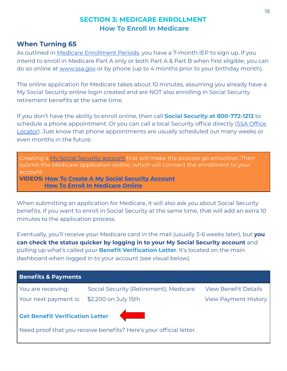## <span id="page-17-0"></span>**When Turning 65**

As outlined in Medicare [Enrollment](#page-6-0) Periods, you have a 7-month IEP to sign up. If you intend to enroll in Medicare Part A only or both Part A & Part B when first eligible, you can do so online at [www.ssa.gov](http://www.ssa.gov/) or by phone (up to 4 months prior to your birthday month).

The online application for Medicare takes about 10 minutes, assuming you already have a My Social Security online login created and are NOT also enrolling in Social Security retirement benefits at the same time.

If you don't have the ability to enroll online, then call **Social Security at 800-772-1213** to schedule a phone appointment. Or you can call a local Security office directly ([SSA Office](https://secure.ssa.gov/ICON/main.jsp) [Locator](https://secure.ssa.gov/ICON/main.jsp)). Just know that phone appointments are usually scheduled out many weeks or even months in the future.

Creating a My Social Security [account](https://www.ssa.gov/myaccount/) first will make the process go smoother. Then submit the Medicare application online, which will connect the enrollment to your account. **VIDEOS: How To Create A My Social Security [Account](https://youtu.be/O8FT8Q8Y2zE) How To Enroll In [Medicare](https://youtu.be/LSGBoBkisgw) Online**

When submitting an application for Medicare, it will also ask you about Social Security benefits. If you want to enroll in Social Security at the same time, that will add an extra 10 minutes to the application process.

Eventually, you'll receive your Medicare card in the mail (usually 3-6 weeks later), but **you can check the status quicker by logging in to your My Social Security account** and pulling up what's called your **Benefit Verification Letter**. It's located on the main dashboard when logged in to your account (see visual below).

| <b>Benefits &amp; Payments</b>             |                                                                    |                             |  |
|--------------------------------------------|--------------------------------------------------------------------|-----------------------------|--|
| You are receiving:                         | Social Security (Retirement), Medicare                             | <b>View Benefit Details</b> |  |
| Your next payment is: \$2,200 on July 15th |                                                                    | <b>View Payment History</b> |  |
| <b>Get Benefit Verification Letter</b>     | Need proof that you receive benefits? Here's your official letter. |                             |  |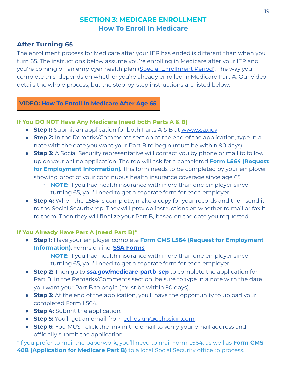## <span id="page-18-0"></span>**After Turning 65**

The enrollment process for Medicare after your IEP has ended is different than when you turn 65. The instructions below assume you're enrolling in Medicare after your IEP and you're coming off an employer health plan (Special [Enrollment](#page-7-1) Period). The way you complete this depends on whether you're already enrolled in Medicare Part A. Our video details the whole process, but the step-by-step instructions are listed below.

#### **VIDEO: How To Enroll In [Medicare](https://youtu.be/4s6go6TtdRA) After Age 65**

#### **If You DO NOT Have Any Medicare (need both Parts A & B)**

- **Step 1:** Submit an application for both Parts A & B at [www.ssa.gov](http://www.ssa.gov/).
- **Step 2:** In the Remarks/Comments section at the end of the application, type in a note with the date you want your Part B to begin (must be within 90 days).
- **Step 3:** A Social Security representative will contact you by phone or mail to follow up on your online application. The rep will ask for a completed **Form L564 (Request for Employment Information)**. This form needs to be completed by your employer showing proof of your continuous health insurance coverage since age 65.
	- **NOTE:** If you had health insurance with more than one employer since turning 65, you'll need to get a separate form for each employer.
- **Step 4:** When the L564 is complete, make a copy for your records and then send it to the Social Security rep. They will provide instructions on whether to mail or fax it to them. Then they will finalize your Part B, based on the date you requested.

#### **If You Already Have Part A (need Part B)\***

- **Step 1:** Have your employer complete **Form CMS L564 (Request for Employment Information)**. Forms online: **SSA [Forms](https://www.ssa.gov/forms/)**
	- **NOTE:** If you had health insurance with more than one employer since turning 65, you'll need to get a separate form for each employer.
- **Step 2:** Then go to **[ssa.gov/medicare-partb-sep](http://ssa.gov/medicare-partb-sep)** to complete the application for Part B. In the Remarks/Comments section, be sure to type in a note with the date you want your Part B to begin (must be within 90 days).
- **Step 3:** At the end of the application, you'll have the opportunity to upload your completed Form L564.
- **Step 4:** Submit the application.
- **Step 5:** You'll get an email from [echosign@echosign.com.](mailto:echosign@echosign.com)
- **Step 6:** You MUST click the link in the email to verify your email address and officially submit the application.

\*If you prefer to mail the paperwork, you'll need to mail Form L564, as well as **Form CMS 40B (Application for Medicare Part B)** to a local Social Security office to process.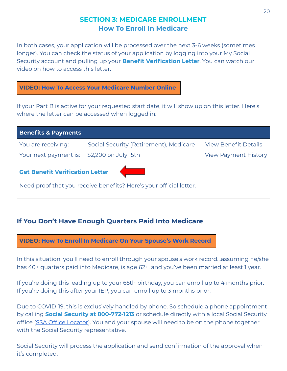In both cases, your application will be processed over the next 3-6 weeks (sometimes longer). You can check the status of your application by logging into your My Social Security account and pulling up your **Benefit Verification Letter**. You can watch our video on how to access this letter.

#### **VIDEO: How To Access Your [Medicare](https://youtu.be/bWAaI3uGmZg) Number Online**

If your Part B is active for your requested start date, it will show up on this letter. Here's where the letter can be accessed when logged in:

| <b>Benefits &amp; Payments</b>             |                                                                    |                             |  |
|--------------------------------------------|--------------------------------------------------------------------|-----------------------------|--|
| You are receiving:                         | Social Security (Retirement), Medicare                             | <b>View Benefit Details</b> |  |
| Your next payment is: \$2,200 on July 15th |                                                                    | <b>View Payment History</b> |  |
| <b>Cet Benefit Verification Letter</b>     | Need proof that you receive benefits? Here's your official letter. |                             |  |

## <span id="page-19-0"></span>**If You Don't Have Enough Quarters Paid Into Medicare**

**VIDEO: How To Enroll In [Medicare](https://youtu.be/S7cu-V-Kye0) On Your Spouse's Work Record**

In this situation, you'll need to enroll through your spouse's work record...assuming he/she has 40+ quarters paid into Medicare, is age 62+, and you've been married at least 1 year.

If you're doing this leading up to your 65th birthday, you can enroll up to 4 months prior. If you're doing this after your IEP, you can enroll up to 3 months prior.

Due to COVID-19, this is exclusively handled by phone. So schedule a phone appointment by calling **Social Security at 800-772-1213** or schedule directly with a local Social Security office [\(SSA Office](https://secure.ssa.gov/ICON/main.jsp) Locator). You and your spouse will need to be on the phone together with the Social Security representative.

Social Security will process the application and send confirmation of the approval when it's completed.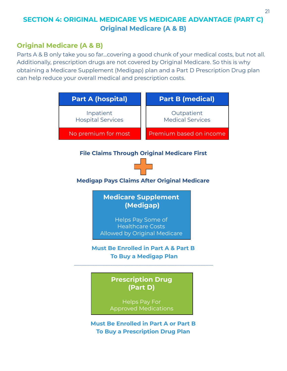## <span id="page-20-0"></span>**Original Medicare (A & B)**

Parts A & B only take you so far...covering a good chunk of your medical costs, but not all. Additionally, prescription drugs are not covered by Original Medicare. So this is why obtaining a Medicare Supplement (Medigap) plan and a Part D Prescription Drug plan can help reduce your overall medical and prescription costs.

| Part A (hospital)                                                                                                              | <b>Part B (medical)</b>               |
|--------------------------------------------------------------------------------------------------------------------------------|---------------------------------------|
| Inpatient<br><b>Hospital Services</b>                                                                                          | Outpatient<br><b>Medical Services</b> |
| No premium for most                                                                                                            | Premium based on income               |
| <b>File Claims Through Original Medicare First</b><br><b>Medigap Pays Claims After Original Medicare</b>                       |                                       |
| <b>Medicare Supplement</b><br>(Medigap)<br>Helps Pay Some of<br><b>Healthcare Costs</b><br><b>Allowed by Original Medicare</b> |                                       |
| <b>Must Be Enrolled in Part A &amp; Part B</b>                                                                                 | <b>To Buy a Medigap Plan</b>          |
| <b>Prescription Drug</b><br>(Part D)<br><b>Helps Pay For</b><br><b>Approved Medications</b>                                    |                                       |
| <b>Must Be Enrolled in Part A or Part B</b><br><b>To Buy a Prescription Drug Plan</b>                                          |                                       |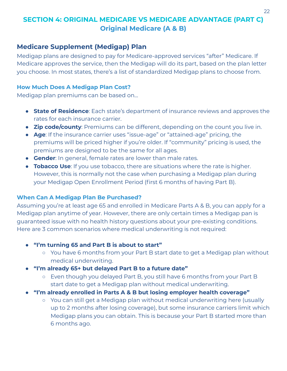#### <span id="page-21-0"></span>**Medicare Supplement (Medigap) Plan**

Medigap plans are designed to pay for Medicare-approved services "after" Medicare. If Medicare approves the service, then the Medigap will do its part, based on the plan letter you choose. In most states, there's a list of standardized Medigap plans to choose from.

#### **How Much Does A Medigap Plan Cost?**

Medigap plan premiums can be based on…

- **State of Residence**: Each state's department of insurance reviews and approves the rates for each insurance carrier.
- **Zip code/county**: Premiums can be different, depending on the count you live in.
- **Age**: If the insurance carrier uses "issue-age" or "attained-age" pricing, the premiums will be priced higher if you're older. If "community" pricing is used, the premiums are designed to be the same for all ages.
- **Gender**: In general, female rates are lower than male rates.
- **Tobacco Use**: If you use tobacco, there are situations where the rate is higher. However, this is normally not the case when purchasing a Medigap plan during your Medigap Open Enrollment Period (first 6 months of having Part B).

#### **When Can A Medigap Plan Be Purchased?**

Assuming you're at least age 65 and enrolled in Medicare Parts A & B, you can apply for a Medigap plan anytime of year. However, there are only certain times a Medigap pan is guaranteed issue with no health history questions about your pre-existing conditions. Here are 3 common scenarios where medical underwriting is not required:

- **● "I'm turning 65 and Part B is about to start"**
	- You have 6 months from your Part B start date to get a Medigap plan without medical underwriting.
- **● "I'm already 65+ but delayed Part B to a future date"**
	- Even though you delayed Part B, you still have 6 months from your Part B start date to get a Medigap plan without medical underwriting.
- **● "I'm already enrolled in Parts A & B but losing employer health coverage"**
	- You can still get a Medigap plan without medical underwriting here (usually up to 2 months after losing coverage), but some insurance carriers limit which Medigap plans you can obtain. This is because your Part B started more than 6 months ago.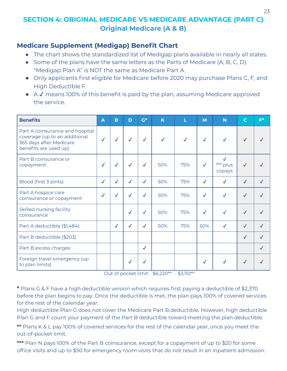#### **Medicare Supplement (Medigap) Benefit Chart**

- The chart shows the standardized list of Medigap plans available in nearly all states.
- Some of the plans have the same letters as the Parts of Medicare (A, B, C, D). "Medigap Plan A" is NOT the same as Medicare Part A.
- Only applicants first eligible for Medicare before 2020 may purchase Plans C, F, and High Deductible F.
- A √ means 100% of this benefit is paid by the plan, assuming Medicare approved the service.

| <b>Benefits</b>                                                                                                      | A            | B            | D            | $G^*$        | K            | L   | M            | N                  | $\mathbf C$  | $F^*$ |
|----------------------------------------------------------------------------------------------------------------------|--------------|--------------|--------------|--------------|--------------|-----|--------------|--------------------|--------------|-------|
| Part A coinsurance and hospital<br>coverage (up to an additional<br>365 days after Medicare<br>benefits are used up) | $\checkmark$ | $\checkmark$ | $\checkmark$ | $\checkmark$ | $\checkmark$ |     | $\checkmark$ |                    |              |       |
| Part B coinsurance or<br>copayment                                                                                   | $\checkmark$ | $\checkmark$ | $\checkmark$ | $\checkmark$ | 50%          | 75% | $\checkmark$ | *** plus<br>copays |              |       |
| Blood (first 3 pints)                                                                                                | $\checkmark$ | $\checkmark$ | $\checkmark$ | $\checkmark$ | 50%          | 75% | $\checkmark$ |                    | $\checkmark$ |       |
| Part A hospice care<br>coinsurance or copayment                                                                      | √            | $\checkmark$ | $\checkmark$ | $\checkmark$ | 50%          | 75% | $\checkmark$ | $\checkmark$       | $\checkmark$ |       |
| Skilled nursing facility<br>coinsurance                                                                              |              |              | $\checkmark$ | $\checkmark$ | 50%          | 75% | $\checkmark$ | $\checkmark$       | $\checkmark$ |       |
| Part A deductible (\$1,484)                                                                                          |              | $\checkmark$ | $\checkmark$ | $\checkmark$ | 50%          | 75% | 50%          |                    | $\checkmark$ |       |
| Part B deductible (\$203)                                                                                            |              |              |              |              |              |     |              |                    | $\checkmark$ |       |
| Part B excess charges                                                                                                |              |              |              | $\checkmark$ |              |     |              |                    |              |       |
| Foreign travel emergency (up<br>to plan limits)                                                                      |              |              | $\sqrt{2}$   | $\checkmark$ |              |     | $\sqrt{2}$   |                    | $\checkmark$ |       |

Out of pocket limit: \$6,220\*\* \$3,110\*\*

**\*** Plans G & F have a high deductible version which requires first paying a deductible of \$2,370 before the plan begins to pay. Once the deductible is met, the plan pays 100% of covered services for the rest of the calendar year.

High deductible Plan G does not cover the Medicare Part B deductible. However, high deductible Plan G and F count your payment of the Part B deductible toward meeting the plan deductible.

**\*\*** Plans K & L pay 100% of covered services for the rest of the calendar year, once you meet the out-of-pocket limit.

**\*\*\*** Plan N pays 100% of the Part B coinsurance, except for a copayment of up to \$20 for some office visits and up to \$50 for emergency room visits that do not result in an inpatient admission.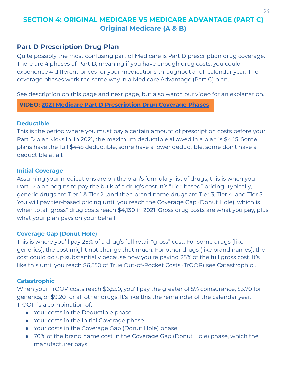#### <span id="page-23-0"></span>**Part D Prescription Drug Plan**

Quite possibly the most confusing part of Medicare is Part D prescription drug coverage. There are 4 phases of Part D, meaning if you have enough drug costs, you could experience 4 different prices for your medications throughout a full calendar year. The coverage phases work the same way in a Medicare Advantage (Part C) plan.

See description on this page and next page, but also watch our video for an explanation.

**VIDEO: 2021 Medicare Part D [Prescription](https://youtu.be/pyoXtRE1kZk) Drug Coverage Phases**

#### **Deductible**

This is the period where you must pay a certain amount of prescription costs before your Part D plan kicks in. In 2021, the maximum deductible allowed in a plan is \$445. Some plans have the full \$445 deductible, some have a lower deductible, some don't have a deductible at all.

#### **Initial Coverage**

Assuming your medications are on the plan's formulary list of drugs, this is when your Part D plan begins to pay the bulk of a drug's cost. It's "Tier-based" pricing. Typically, generic drugs are Tier 1 & Tier 2...and then brand name drugs are Tier 3, Tier 4, and Tier 5. You will pay tier-based pricing until you reach the Coverage Gap (Donut Hole), which is when total "gross" drug costs reach \$4,130 in 2021. Gross drug costs are what you pay, plus what your plan pays on your behalf.

#### **Coverage Gap (Donut Hole)**

This is where you'll pay 25% of a drug's full retail "gross" cost. For some drugs (like generics), the cost might not change that much. For other drugs (like brand names), the cost could go up substantially because now you're paying 25% of the full gross cost. It's like this until you reach \$6,550 of True Out-of-Pocket Costs (TrOOP)[see Catastrophic].

#### **Catastrophic**

When your TrOOP costs reach \$6,550, you'll pay the greater of 5% coinsurance, \$3.70 for generics, or \$9.20 for all other drugs. It's like this the remainder of the calendar year. TrOOP is a combination of:

- Your costs in the Deductible phase
- Your costs in the Initial Coverage phase
- Your costs in the Coverage Gap (Donut Hole) phase
- 70% of the brand name cost in the Coverage Gap (Donut Hole) phase, which the manufacturer pays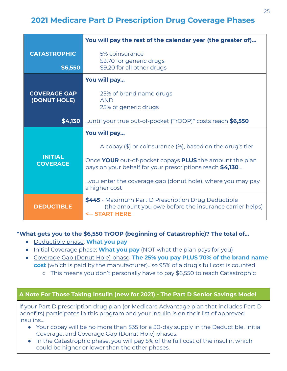## <span id="page-24-0"></span>**2021 Medicare Part D Prescription Drug Coverage Phases**

|                                     | You will pay the rest of the calendar year (the greater of)                                                                                       |  |  |  |
|-------------------------------------|---------------------------------------------------------------------------------------------------------------------------------------------------|--|--|--|
| <b>CATASTROPHIC</b><br>\$6,550      | 5% coinsurance<br>\$3.70 for generic drugs<br>\$9.20 for all other drugs                                                                          |  |  |  |
|                                     | You will pay                                                                                                                                      |  |  |  |
| <b>COVERAGE GAP</b><br>(DONUT HOLE) | 25% of brand name drugs<br><b>AND</b><br>25% of generic drugs                                                                                     |  |  |  |
| \$4,130                             | until your true out-of-pocket (TrOOP)* costs reach \$6,550                                                                                        |  |  |  |
|                                     | You will pay                                                                                                                                      |  |  |  |
|                                     | A copay $(\$)$ or coinsurance $(\%)$ , based on the drug's tier                                                                                   |  |  |  |
| <b>INITIAL</b><br><b>COVERAGE</b>   | Once YOUR out-of-pocket copays PLUS the amount the plan<br>pays on your behalf for your prescriptions reach \$4,130                               |  |  |  |
|                                     | you enter the coverage gap (donut hole), where you may pay<br>a higher cost                                                                       |  |  |  |
| <b>DEDUCTIBLE</b>                   | <b>\$445</b> - Maximum Part D Prescription Drug Deductible<br>(the amount you owe before the insurance carrier helps)<br><b>&lt;-- START HERE</b> |  |  |  |

#### **\*What gets you to the \$6,550 TrOOP (beginning of Catastrophic)? The total of...**

- Deductible phase: **What you pay**
- Initial Coverage phase: **What you pay** (NOT what the plan pays for you)
- Coverage Gap (Donut Hole) phase: **The 25% you pay PLUS 70% of the brand name cost** (which is paid by the manufacturer)...so 95% of a drug's full cost is counted
	- This means you don't personally have to pay \$6,550 to reach Catastrophic

#### **A Note For Those Taking Insulin (new for 2021) - The Part D Senior Savings Model**

If your Part D prescription drug plan (or Medicare Advantage plan that includes Part D benefits) participates in this program and your insulin is on their list of approved insulins…

- Your copay will be no more than \$35 for a 30-day supply in the Deductible, Initial Coverage, and Coverage Gap (Donut Hole) phases.
- In the Catastrophic phase, you will pay 5% of the full cost of the insulin, which could be higher or lower than the other phases.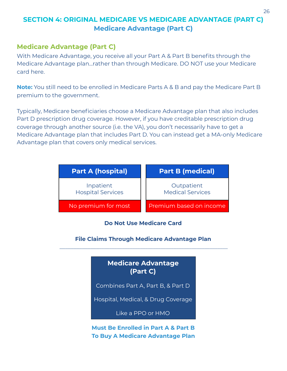## <span id="page-25-0"></span>**SECTION 4: ORIGINAL MEDICARE VS MEDICARE ADVANTAGE (PART C) Medicare Advantage (Part C)**

#### **Medicare Advantage (Part C)**

With Medicare Advantage, you receive all your Part A & Part B benefits through the Medicare Advantage plan...rather than through Medicare. DO NOT use your Medicare card here.

**Note:** You still need to be enrolled in Medicare Parts A & B and pay the Medicare Part B premium to the government.

Typically, Medicare beneficiaries choose a Medicare Advantage plan that also includes Part D prescription drug coverage. However, if you have creditable prescription drug coverage through another source (i.e. the VA), you don't necessarily have to get a Medicare Advantage plan that includes Part D. You can instead get a MA-only Medicare Advantage plan that covers only medical services.

| <b>Part A (hospital)</b>              | <b>Part B (medical)</b>               |
|---------------------------------------|---------------------------------------|
| Inpatient<br><b>Hospital Services</b> | Outpatient<br><b>Medical Services</b> |
| No premium for most                   | Premium based on income               |

**Do Not Use Medicare Card**

**File Claims Through Medicare Advantage Plan** \_\_\_\_\_\_\_\_\_\_\_\_\_\_ \_\_\_\_\_\_\_\_\_\_\_\_\_\_\_\_\_\_\_\_\_\_\_\_\_\_\_\_\_\_\_\_\_\_\_\_\_\_\_\_\_\_\_\_\_\_\_\_\_\_

## **Medicare Advantage (Part C)**

Combines Part A, Part B, & Part D

Hospital, Medical, & Drug Coverage

Like a PPO or HMO

#### **Must Be Enrolled in Part A & Part B To Buy A Medicare Advantage Plan**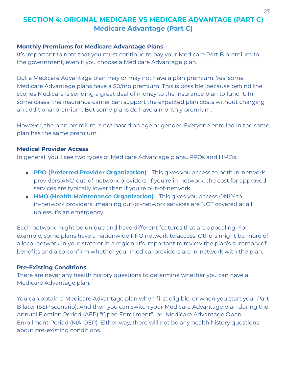## **SECTION 4: ORIGINAL MEDICARE VS MEDICARE ADVANTAGE (PART C) Medicare Advantage (Part C)**

#### **Monthly Premiums for Medicare Advantage Plans**

It's important to note that you must continue to pay your Medicare Part B premium to the government, even if you choose a Medicare Advantage plan.

But a Medicare Advantage plan may or may not have a plan premium. Yes, some Medicare Advantage plans have a \$0/mo premium. This is possible, because behind the scenes Medicare is sending a great deal of money to the insurance plan to fund it. In some cases, the insurance carrier can support the expected plan costs without charging an additional premium. But some plans do have a monthly premium.

However, the plan premium is not based on age or gender. Everyone enrolled in the same plan has the same premium.

#### **Medical Provider Access**

In general, you'll see two types of Medicare Advantage plans...PPOs and HMOs.

- **PPO (Preferred Provider Organization)** This gives you access to both in-network providers AND out-of-network providers. If you're in-network, the cost for approved services are typically lower than if you're out-of-network.
- **HMO (Health Maintenance Organization)** This gives you access ONLY to in-network providers...meaning out-of-network services are NOT covered at all, unless it's an emergency.

Each network might be unique and have different features that are appealing. For example, some plans have a nationwide PPO network to access. Others might be more of a local network in your state or in a region. It's important to review the plan's summary of benefits and also confirm whether your medical providers are in-network with the plan.

#### **Pre-Existing Conditions**

There are never any health history questions to determine whether you can have a Medicare Advantage plan.

You can obtain a Medicare Advantage plan when first eligible, or when you start your Part B later (SEP scenario). And then you can switch your Medicare Advantage plan during the Annual Election Period (AEP) "Open Enrollment"...or...Medicare Advantage Open Enrollment Period (MA-OEP). Either way, there will not be any health history questions about pre-existing conditions.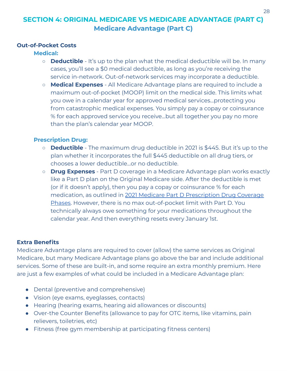## **SECTION 4: ORIGINAL MEDICARE VS MEDICARE ADVANTAGE (PART C) Medicare Advantage (Part C)**

#### **Out-of-Pocket Costs**

#### **Medical:**

- **Deductible** It's up to the plan what the medical deductible will be. In many cases, you'll see a \$0 medical deductible, as long as you're receiving the service in-network. Out-of-network services may incorporate a deductible.
- **Medical Expenses** All Medicare Advantage plans are required to include a maximum out-of-pocket (MOOP) limit on the medical side. This limits what you owe in a calendar year for approved medical services...protecting you from catastrophic medical expenses. You simply pay a copay or coinsurance % for each approved service you receive...but all together you pay no more than the plan's calendar year MOOP.

#### **Prescription Drug:**

- **Deductible** The maximum drug deductible in 2021 is \$445. But it's up to the plan whether it incorporates the full \$445 deductible on all drug tiers, or chooses a lower deductible...or no deductible.
- **Drug Expenses** Part D coverage in a Medicare Advantage plan works exactly like a Part D plan on the Original Medicare side. After the deductible is met (or if it doesn't apply), then you pay a copay or coinsurance % for each medication, as outlined in 2021 Medicare Part D [Prescription](#page-24-0) Drug Coverage [Phases.](#page-24-0) However, there is no max out-of-pocket limit with Part D. You technically always owe something for your medications throughout the calendar year. And then everything resets every January 1st.

#### **Extra Benefits**

Medicare Advantage plans are required to cover (allow) the same services as Original Medicare, but many Medicare Advantage plans go above the bar and include additional services. Some of these are built-in, and some require an extra monthly premium. Here are just a few examples of what could be included in a Medicare Advantage plan:

- Dental (preventive and comprehensive)
- Vision (eye exams, eyeglasses, contacts)
- Hearing (hearing exams, hearing aid allowances or discounts)
- Over-the Counter Benefits (allowance to pay for OTC items, like vitamins, pain relievers, toiletries, etc)
- Fitness (free gym membership at participating fitness centers)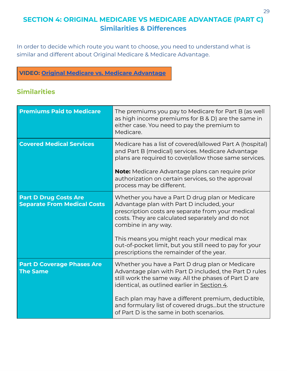## <span id="page-28-0"></span>**SECTION 4: ORIGINAL MEDICARE VS MEDICARE ADVANTAGE (PART C) Similarities & Differences**

In order to decide which route you want to choose, you need to understand what is similar and different about Original Medicare & Medicare Advantage.

#### **VIDEO: Original Medicare vs. Medicare [Advantage](https://youtu.be/8gV5uNsyO2I)**

## **Similarities**

| <b>Premiums Paid to Medicare</b>                                   | The premiums you pay to Medicare for Part B (as well<br>as high income premiums for B & D) are the same in<br>either case. You need to pay the premium to<br>Medicare.                                                                                                                                                                                                             |
|--------------------------------------------------------------------|------------------------------------------------------------------------------------------------------------------------------------------------------------------------------------------------------------------------------------------------------------------------------------------------------------------------------------------------------------------------------------|
| <b>Covered Medical Services</b>                                    | Medicare has a list of covered/allowed Part A (hospital)<br>and Part B (medical) services. Medicare Advantage<br>plans are required to cover/allow those same services.<br><b>Note:</b> Medicare Advantage plans can require prior<br>authorization on certain services, so the approval<br>process may be different.                                                              |
| <b>Part D Drug Costs Are</b><br><b>Separate From Medical Costs</b> | Whether you have a Part D drug plan or Medicare<br>Advantage plan with Part D included, your<br>prescription costs are separate from your medical<br>costs. They are calculated separately and do not<br>combine in any way.<br>This means you might reach your medical max<br>out-of-pocket limit, but you still need to pay for your<br>prescriptions the remainder of the year. |
| <b>Part D Coverage Phases Are</b><br><b>The Same</b>               | Whether you have a Part D drug plan or Medicare<br>Advantage plan with Part D included, the Part D rules<br>still work the same way. All the phases of Part D are<br>identical, as outlined earlier in Section 4.<br>Each plan may have a different premium, deductible,<br>and formulary list of covered drugsbut the structure<br>of Part D is the same in both scenarios.       |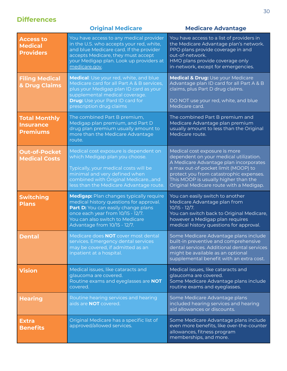## **Differences**

|                                                             | <b>Original Medicare</b>                                                                                                                                                                                                                      | <b>Medicare Advantage</b>                                                                                                                                                                                                                                                              |
|-------------------------------------------------------------|-----------------------------------------------------------------------------------------------------------------------------------------------------------------------------------------------------------------------------------------------|----------------------------------------------------------------------------------------------------------------------------------------------------------------------------------------------------------------------------------------------------------------------------------------|
| <b>Access to</b><br><b>Medical</b><br><b>Providers</b>      | You have access to any medical provider<br>in the U.S. who accepts your red, white,<br>and blue Medicare card. If the provider<br>accepts Medicare, they must accept<br>your Medigap plan. Look up providers at<br>medicare.gov.              | You have access to a list of providers in<br>the Medicare Advantage plan's network.<br>PPO plans provide coverage in and<br>out-of-network.<br>HMO plans provide coverage only<br>in-network, except for emergencies.                                                                  |
| <b>Filing Medical</b><br>& Drug Claims                      | <b>Medical:</b> Use your red, white, and blue<br>Medicare card for all Part A & B services,<br>plus your Medigap plan ID card as your<br>supplemental medical coverage.<br><b>Drug:</b> Use your Pard ID card for<br>prescription drug claims | Medical & Drug: Use your Medicare<br>Advantage plan ID card for all Part A & B<br>claims, plus Part D drug claims.<br>DO NOT use your red, white, and blue<br>Medicare card.                                                                                                           |
| <b>Total Monthly</b><br><b>Insurance</b><br><b>Premiums</b> | The combined Part B premium,<br>Medigap plan premium, and Part D<br>drug plan premium usually amount to<br>more than the Medicare Advantage<br>route.                                                                                         | The combined Part B premium and<br>Medicare Advantage plan premium<br>usually amount to less than the Original<br>Medicare route.                                                                                                                                                      |
| <b>Out-of-Pocket</b><br><b>Medical Costs</b>                | Medical cost exposure is dependent on<br>which Medigap plan you choose.<br>Typically, your medical costs will be<br>minimal and very defined when<br>combined with Original Medicareand<br>less than the Medicare Advantage route.            | Medical cost exposure is more<br>dependent on your medical utilization.<br>A Medicare Advantage plan incorporates<br>a max out-of-pocket limit (MOOP) to<br>protect you from catastrophic expenses.<br>This MOOP is usually higher than the<br>Original Medicare route with a Medigap. |
| <b>Switching</b><br><b>Plans</b>                            | <b>Medigap:</b> Plan changes typically require<br>medical history questions for approval.<br>Part D: You can easily change plans<br>once each year from 10/15 - 12/7.<br>You can also switch to Medicare<br>Advantage from 10/15 - 12/7.      | You can easily switch to another<br>Medicare Advantage plan from<br>$10/15 - 12/7.$<br>You can switch back to Original Medicare,<br>however a Medigap plan requires<br>medical history questions for approval.                                                                         |
| <b>Dental</b>                                               | Medicare does <b>NOT</b> cover most dental<br>services. Emergency dental services<br>may be covered, if admitted as an<br>inpatient at a hospital.                                                                                            | Some Medicare Advantage plans include<br>built-in preventive and comprehensive<br>dental services. Additional dental services<br>might be available as an optional<br>supplemental benefit with an extra cost.                                                                         |
| <b>Vision</b>                                               | Medical issues, like cataracts and<br>glaucoma are covered.<br>Routine exams and eyeglasses are NOT<br>covered.                                                                                                                               | Medical issues, like cataracts and<br>glaucoma are covered.<br>Some Medicare Advantage plans include<br>routine exams and eyeglasses.                                                                                                                                                  |
| <b>Hearing</b>                                              | Routine hearing services and hearing<br>aids are <b>NOT</b> covered.                                                                                                                                                                          | Some Medicare Advantage plans<br>included hearing services and hearing<br>aid allowances or discounts.                                                                                                                                                                                 |
| <b>Extra</b><br><b>Benefits</b>                             | Original Medicare has a specific list of<br>approved/allowed services.                                                                                                                                                                        | Some Medicare Advantage plans include<br>even more benefits, like over-the-counter<br>allowances, fitness program<br>memberships, and more.                                                                                                                                            |